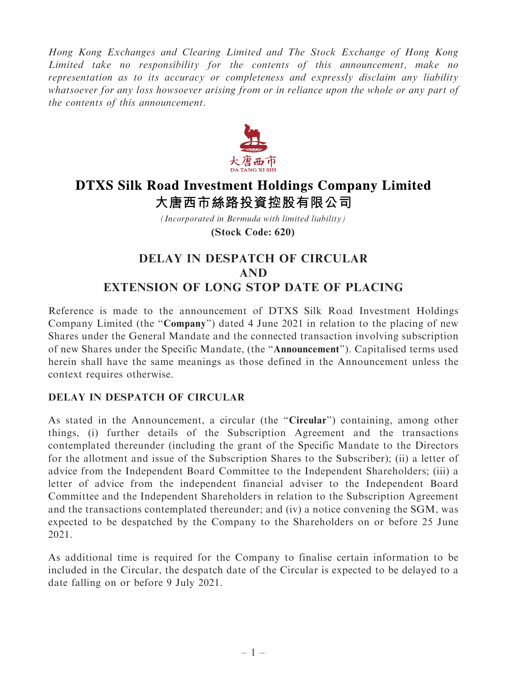Hong Kong Exchanges and Clearing Limited and The Stock Exchange of Hong Kong Limited take no responsibility for the contents of this announcement, make no representation as to its accuracy or completeness and expressly disclaim any liability whatsoever for any loss howsoever arising from or in reliance upon the whole or any part of the contents of this announcement.



## **DTXS Silk Road Investment Holdings Company Limited** 大唐西市絲路投資控股有限公司

*(Incorporated in Bermuda with limited liability)* **(Stock Code: 620)**

## DELAY IN DESPATCH OF CIRCULAR AND EXTENSION OF LONG STOP DATE OF PLACING

Reference is made to the announcement of DTXS Silk Road Investment Holdings Company Limited (the ''Company'') dated 4 June 2021 in relation to the placing of new Shares under the General Mandate and the connected transaction involving subscription of new Shares under the Specific Mandate, (the ''Announcement''). Capitalised terms used herein shall have the same meanings as those defined in the Announcement unless the context requires otherwise.

## DELAY IN DESPATCH OF CIRCULAR

As stated in the Announcement, a circular (the "Circular") containing, among other things, (i) further details of the Subscription Agreement and the transactions contemplated thereunder (including the grant of the Specific Mandate to the Directors for the allotment and issue of the Subscription Shares to the Subscriber); (ii) a letter of advice from the Independent Board Committee to the Independent Shareholders; (iii) a letter of advice from the independent financial adviser to the Independent Board Committee and the Independent Shareholders in relation to the Subscription Agreement and the transactions contemplated thereunder; and (iv) a notice convening the SGM, was expected to be despatched by the Company to the Shareholders on or before 25 June 2021.

As additional time is required for the Company to finalise certain information to be included in the Circular, the despatch date of the Circular is expected to be delayed to a date falling on or before 9 July 2021.